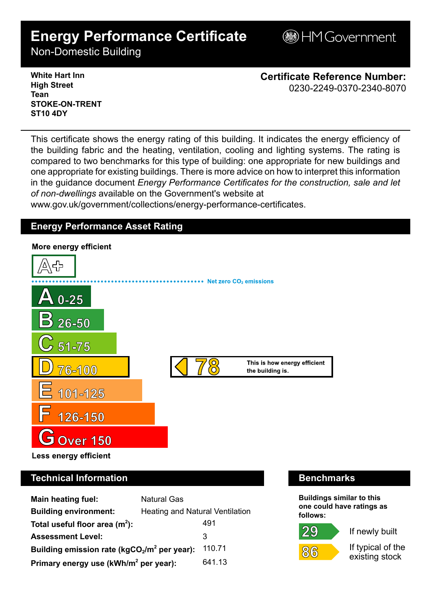# **Energy Performance Certificate**

**BHM Government** 

Non-Domestic Building

**White Hart Inn High Street Tean STOKE-ON-TRENT ST10 4DY**

**Certificate Reference Number:** 0230-2249-0370-2340-8070

This certificate shows the energy rating of this building. It indicates the energy efficiency of the building fabric and the heating, ventilation, cooling and lighting systems. The rating is compared to two benchmarks for this type of building: one appropriate for new buildings and one appropriate for existing buildings. There is more advice on how to interpret this information in the guidance document *Energy Performance Certificates for the construction, sale and let of non-dwellings* available on the Government's website at

www.gov.uk/government/collections/energy-performance-certificates.

# **Energy Performance Asset Rating**



# **Technical Information Benchmarks**

| <b>Main heating fuel:</b>                         | <b>Natural Gas</b>              |        |
|---------------------------------------------------|---------------------------------|--------|
| <b>Building environment:</b>                      | Heating and Natural Ventilation |        |
| Total useful floor area $(m2)$ :                  |                                 | 491    |
| <b>Assessment Level:</b>                          |                                 | 3      |
| Building emission rate ( $kgCO2/m2$ per year):    |                                 | 110.71 |
| Primary energy use (kWh/m <sup>2</sup> per year): |                                 | 641.13 |

**Buildings similar to this one could have ratings as follows:**



 $86$ 



If typical of the existing stock